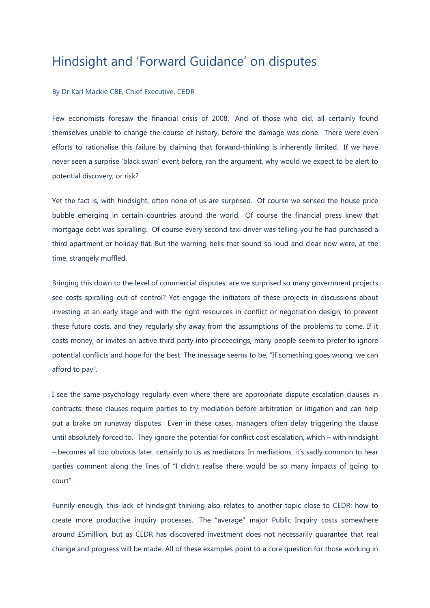## Hindsight and 'Forward Guidance' on disputes

## By Dr Karl Mackie CBE, Chief Executive, CEDR

Few economists foresaw the financial crisis of 2008. And of those who did, all certainly found themselves unable to change the course of history, before the damage was done. There were even efforts to rationalise this failure by claiming that forward-thinking is inherently limited. If we have never seen a surprise 'black swan' event before, ran the argument, why would we expect to be alert to potential discovery, or risk?

Yet the fact is, with hindsight, often none of us are surprised. Of course we sensed the house price bubble emerging in certain countries around the world. Of course the financial press knew that mortgage debt was spiralling. Of course every second taxi driver was telling you he had purchased a third apartment or holiday flat. But the warning bells that sound so loud and clear now were, at the time, strangely muffled.

Bringing this down to the level of commercial disputes, are we surprised so many government projects see costs spiralling out of control? Yet engage the initiators of these projects in discussions about investing at an early stage and with the right resources in conflict or negotiation design, to prevent these future costs, and they regularly shy away from the assumptions of the problems to come. If it costs money, or invites an active third party into proceedings, many people seem to prefer to ignore potential conflicts and hope for the best. The message seems to be, "If something goes wrong, we can afford to pay".

I see the same psychology regularly even where there are appropriate dispute escalation clauses in contracts: these clauses require parties to try mediation before arbitration or litigation and can help put a brake on runaway disputes. Even in these cases, managers often delay triggering the clause until absolutely forced to. They ignore the potential for conflict cost escalation, which – with hindsight – becomes all too obvious later, certainly to us as mediators. In mediations, it's sadly common to hear parties comment along the lines of "I didn't realise there would be so many impacts of going to court".

Funnily enough, this lack of hindsight thinking also relates to another topic close to CEDR: how to create more productive inquiry processes. The "average" major Public Inquiry costs somewhere around £5million, but as CEDR has discovered investment does not necessarily guarantee that real change and progress will be made. All of these examples point to a core question for those working in